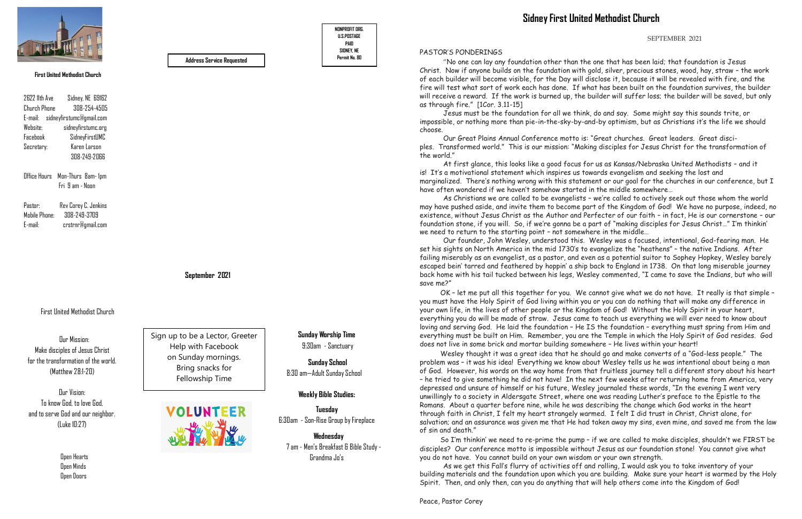## First United Methodist Church

 Open Hearts Open Minds Open Doors

 **September 2021**

| Sidney, NE 69162         |
|--------------------------|
| 308-254-4505             |
| sidneyfirstumc@gmail.com |
| sidneyfirstumc.org       |
| SidneyFirstUMC           |
| Karen Larson             |
| 308-249-2066             |
|                          |

Office Hours Mon-Thurs 8am- 1pm Fri 9 am - Noon

Pastor: Rev Corey C. Jenkins Mobile Phone: 308-249-3709 E-mail: crstrnr@gmail.com

*<u>Our Missinn</u>* Make disciples of Jesus Christ for the transformation of the world. (Matthew 28:1-20)

**NONPROFIT ORG. U.S.POSTAGE PAID SIDNEY, NE**

**Permit No. 80 Address Service Requested**



#### **First United Methodist Church**

**Sunday Worship Time** 9:30am - Sanctuary

 **Sunday School**  8:30 am—Adult Sunday School

**Weekly Bible Studies:**

**Tuesday**  6:30am - Son-Rise Group by Fireplace

 **Wednesday** 7 am - Men's Breakfast & Bible Study - Grandma Jo's

Our Vision: To know God, to love God, and to serve God and our neighbor. (Luke 10:27)

Sign up to be a Lector, Greeter Help with Facebook on Sunday mornings. Bring snacks for Fellowship Time



# **Sidney First United Methodist Church**

SEPTEMBER 2021

PASTOR'S PONDERINGS

"No one can lay any foundation other than the one that has been laid; that foundation is Jesus Christ. Now if anyone builds on the foundation with gold, silver, precious stones, wood, hay, straw – the work of each builder will become visible, for the Day will disclose it, because it will be revealed with fire, and the fire will test what sort of work each has done. If what has been built on the foundation survives, the builder will receive a reward. If the work is burned up, the builder will suffer loss; the builder will be saved, but only as through fire." [1Cor. 3.11-15]

Jesus must be the foundation for all we think, do and say. Some might say this sounds trite, or impossible, or nothing more than pie-in-the-sky-by-and-by optimism, but as Christians it's the life we should choose.

Our Great Plains Annual Conference motto is: "Great churches. Great leaders. Great disciples. Transformed world." This is our mission: "Making disciples for Jesus Christ for the transformation of the world."

At first glance, this looks like a good focus for us as Kansas/Nebraska United Methodists – and it is! It's a motivational statement which inspires us towards evangelism and seeking the lost and marginalized. There's nothing wrong with this statement or our goal for the churches in our conference, but I have often wondered if we haven't somehow started in the middle somewhere…

As Christians we are called to be evangelists – we're called to actively seek out those whom the world may have pushed aside, and invite them to become part of the Kingdom of God! We have no purpose, indeed, no existence, without Jesus Christ as the Author and Perfecter of our faith – in fact, He is our cornerstone – our foundation stone, if you will. So, if we're gonna be a part of "making disciples for Jesus Christ…" I'm thinkin' we need to return to the starting point – not somewhere in the middle…

Our founder, John Wesley, understood this. Wesley was a focused, intentional, God-fearing man. He set his sights on North America in the mid 1730's to evangelize the "heathens" – the native Indians. After failing miserably as an evangelist, as a pastor, and even as a potential suitor to Sophey Hopkey, Wesley barely escaped bein' tarred and feathered by hoppin' a ship back to England in 1738. On that long miserable journey back home with his tail tucked between his legs, Wesley commented, "I came to save the Indians, but who will save me?"

 OK – let me put all this together for you. We cannot give what we do not have. It really is that simple – you must have the Holy Spirit of God living within you or you can do nothing that will make any difference in your own life, in the lives of other people or the Kingdom of God! Without the Holy Spirit in your heart, everything you do will be made of straw. Jesus came to teach us everything we will ever need to know about loving and serving God. He laid the foundation – He IS the foundation – everything must spring from Him and everything must be built on Him. Remember, you are the Temple in which the Holy Spirit of God resides. God does not live in some brick and mortar building somewhere – He lives within your heart!

 Wesley thought it was a great idea that he should go and make converts of a "God-less people." The problem was – it was his idea! Everything we know about Wesley tells us he was intentional about being a man of God. However, his words on the way home from that fruitless journey tell a different story about his heart – he tried to give something he did not have! In the next few weeks after returning home from America, very depressed and unsure of himself or his future, Wesley journaled these words, "In the evening I went very unwillingly to a society in Aldersgate Street, where one was reading Luther's preface to the Epistle to the Romans. About a quarter before nine, while he was describing the change which God works in the heart through faith in Christ, I felt my heart strangely warmed. I felt I did trust in Christ, Christ alone, for salvation; and an assurance was given me that He had taken away my sins, even mine, and saved me from the law of sin and death."

 So I'm thinkin' we need to re-prime the pump – if we are called to make disciples, shouldn't we FIRST be disciples? Our conference motto is impossible without Jesus as our foundation stone! You cannot give what you do not have. You cannot build on your own wisdom or your own strength.

As we get this Fall's flurry of activities off and rolling, I would ask you to take inventory of your building materials and the foundation upon which you are building. Make sure your heart is warmed by the Holy Spirit. Then, and only then, can you do anything that will help others come into the Kingdom of God!